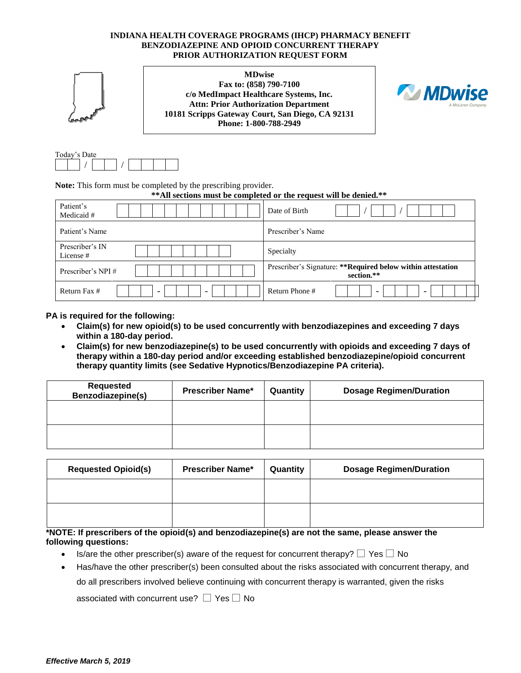## **INDIANA HEALTH COVERAGE PROGRAMS (IHCP) PHARMACY BENEFIT BENZODIAZEPINE AND OPIOID CONCURRENT THERAPY PRIOR AUTHORIZATION REQUEST FORM**

**MDwise Fax to: (858) 790-7100 c/o MedImpact Healthcare Systems, Inc. Attn: Prior Authorization Department 10181 Scripps Gateway Court, San Diego, CA 92131 Phone: 1-800-788-2949**



| Today's Date |  |  |  |  |
|--------------|--|--|--|--|
|              |  |  |  |  |

**Note:** This form must be completed by the prescribing provider.

**\*\*All sections must be completed or the request will be denied.\*\***

| Patient's<br>Medicaid #                                              | Date of Birth                                                              |
|----------------------------------------------------------------------|----------------------------------------------------------------------------|
| Patient's Name                                                       | Prescriber's Name                                                          |
| Prescriber's IN<br>License #                                         | Specialty                                                                  |
| Prescriber's NPI#                                                    | Prescriber's Signature: ** Required below within attestation<br>section.** |
| Return Fax #<br>$\overline{\phantom{0}}$<br>$\overline{\phantom{0}}$ | Return Phone #<br>$\overline{\phantom{0}}$<br>-                            |

**PA is required for the following:**

- **Claim(s) for new opioid(s) to be used concurrently with benzodiazepines and exceeding 7 days within a 180-day period.**
- **Claim(s) for new benzodiazepine(s) to be used concurrently with opioids and exceeding 7 days of therapy within a 180-day period and/or exceeding established benzodiazepine/opioid concurrent therapy quantity limits (see Sedative Hypnotics/Benzodiazepine PA criteria).**

| Requested<br>Benzodiazepine(s) | <b>Prescriber Name*</b> | Quantity | <b>Dosage Regimen/Duration</b> |
|--------------------------------|-------------------------|----------|--------------------------------|
|                                |                         |          |                                |
|                                |                         |          |                                |

| <b>Requested Opioid(s)</b> | <b>Prescriber Name*</b> | Quantity | <b>Dosage Regimen/Duration</b> |
|----------------------------|-------------------------|----------|--------------------------------|
|                            |                         |          |                                |
|                            |                         |          |                                |

**\*NOTE: If prescribers of the opioid(s) and benzodiazepine(s) are not the same, please answer the following questions:**

- Is/are the other prescriber(s) aware of the request for concurrent therapy?  $\square$  Yes  $\square$  No
- Has/have the other prescriber(s) been consulted about the risks associated with concurrent therapy, and do all prescribers involved believe continuing with concurrent therapy is warranted, given the risks

associated with concurrent use?  $\Box$  Yes  $\Box$  No